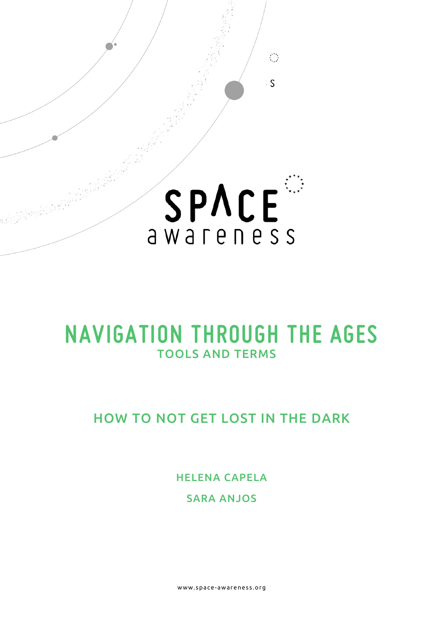

# **NAVIGATION THROUGH THE AGES**  TOOLS AND TERMS

# HOW TO NOT GET LOST IN THE DARK

HELENA CAPELA SARA ANJOS

www.space- awareness.org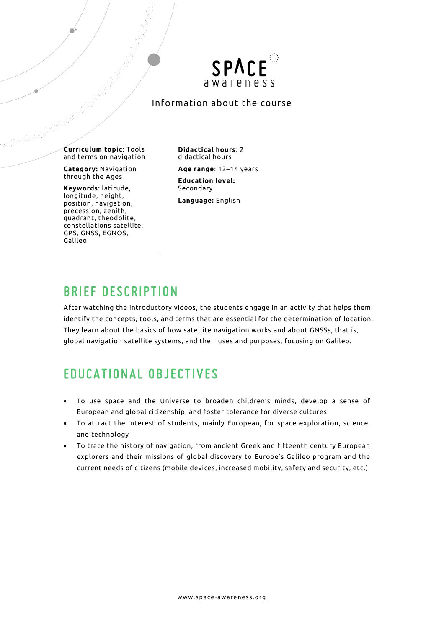

#### Information about the course

**Curriculum topic**: Tools and terms on navigation

**Category:** Navigation through the Ages

**Keywords**: latitude, longitude, height, position, navigation, precession, zenith, quadrant, theodolite, constellations satellite, GPS, GNSS, EGNOS, Galileo

**Didactical hours**: 2 didactical hours

**Age range**: 12–14 years

**Education level:** Secondary

**Language:** English

### **BRIEF DESCRIPTION**

After watching the introductory videos, the students engage in an activity that helps them identify the concepts, tools, and terms that are essential for the determination of location. They learn about the basics of how satellite navigation works and about GNSSs, that is, global navigation satellite systems, and their uses and purposes, focusing on Galileo.

# **EDUCATIONAL OBJECTIVES**

- To use space and the Universe to broaden children's minds, develop a sense of European and global citizenship, and foster tolerance for diverse cultures
- To attract the interest of students, mainly European, for space exploration, science, and technology
- To trace the history of navigation, from ancient Greek and fifteenth century European explorers and their missions of global discovery to Europe's Galileo program and the current needs of citizens (mobile devices, increased mobility, safety and security, etc.).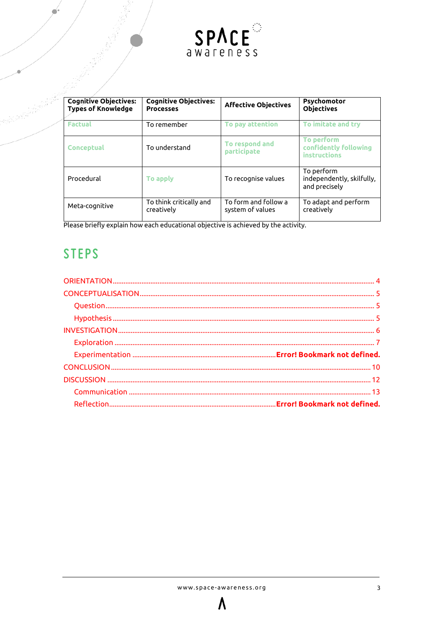

| <b>Cognitive Objectives:</b><br><b>Types of Knowledge</b> | <b>Cognitive Objectives:</b><br><b>Processes</b> | <b>Affective Objectives</b>              | <b>Psychomotor</b><br><b>Objectives</b>                  |
|-----------------------------------------------------------|--------------------------------------------------|------------------------------------------|----------------------------------------------------------|
| <b>Factual</b>                                            | To remember                                      | To pay attention                         | To imitate and try                                       |
| <b>Conceptual</b>                                         | To understand                                    | To respond and<br>participate            | To perform<br>confidently following<br>instructions      |
| Procedural                                                | To apply                                         | To recognise values                      | To perform<br>independently, skilfully,<br>and precisely |
| Meta-cognitive                                            | To think critically and<br>creatively            | To form and follow a<br>system of values | To adapt and perform<br>creatively                       |

Please briefly explain how each educational objective is achieved by the activity.

# **STEPS**

<span id="page-2-0"></span>

Λ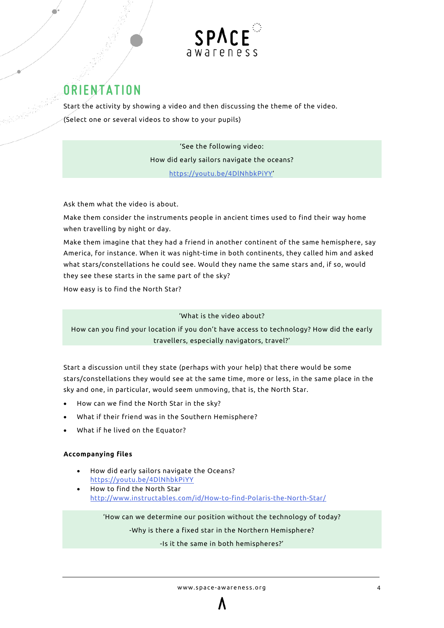

# **ORIENTATION**

Start the activity by showing a video and then discussing the theme of the video. (Select one or several videos to show to your pupils)

> 'See the following video: How did early sailors navigate the oceans? [https://youtu.be/4DlNhbkPiYY'](https://youtu.be/4DlNhbkPiYY)

Ask them what the video is about.

Make them consider the instruments people in ancient times used to find their way home when travelling by night or day.

Make them imagine that they had a friend in another continent of the same hemisphere, say America, for instance. When it was night-time in both continents, they called him and asked what stars/constellations he could see. Would they name the same stars and, if so, would they see these starts in the same part of the sky?

How easy is to find the North Star?

#### 'What is the video about?

How can you find your location if you don't have access to technology? How did the early travellers, especially navigators, travel?'

Start a discussion until they state (perhaps with your help) that there would be some stars/constellations they would see at the same time, more or less, in the same place in the sky and one, in particular, would seem unmoving, that is, the North Star.

- How can we find the North Star in the sky?
- What if their friend was in the Southern Hemisphere?
- What if he lived on the Equator?

#### **Accompanying files**

- How did early sailors navigate the Oceans? <https://youtu.be/4DlNhbkPiYY>
- How to find the North Star <http://www.instructables.com/id/How-to-find-Polaris-the-North-Star/>

'How can we determine our position without the technology of today?

-Why is there a fixed star in the Northern Hemisphere?

-Is it the same in both hemispheres?'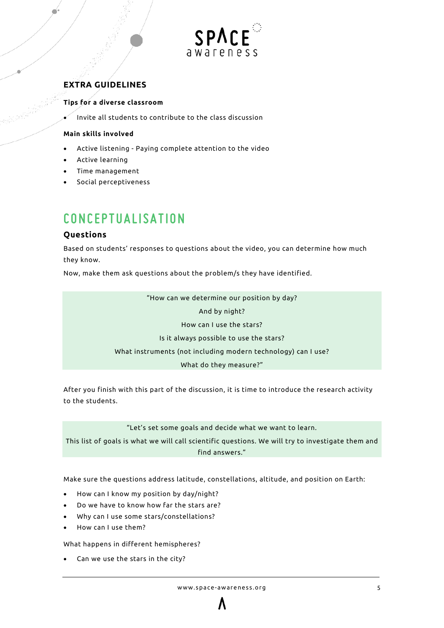

#### **EXTRA GUIDELINES**

#### <span id="page-4-0"></span>**Tips for a diverse classroom**

• Invite all students to contribute to the class discussion

#### **Main skills involved**

- Active listening Paying complete attention to the video
- Active learning
- Time management
- Social perceptiveness

# **CONCEPTUALISATION**

#### <span id="page-4-1"></span>**Questions**

Based on students' responses to questions about the video, you can determine how much they know.

Now, make them ask questions about the problem/s they have identified.

<span id="page-4-2"></span>"How can we determine our position by day?

And by night?

How can I use the stars?

Is it always possible to use the stars?

What instruments (not including modern technology) can I use?

What do they measure?"

After you finish with this part of the discussion, it is time to introduce the research activity to the students.

"Let's set some goals and decide what we want to learn.

This list of goals is what we will call scientific questions. We will try to investigate them and find answers."

Make sure the questions address latitude, constellations, altitude, and position on Earth:

- How can I know my position by day/night?
- Do we have to know how far the stars are?
- Why can I use some stars/constellations?
- How can I use them?

What happens in different hemispheres?

• Can we use the stars in the city?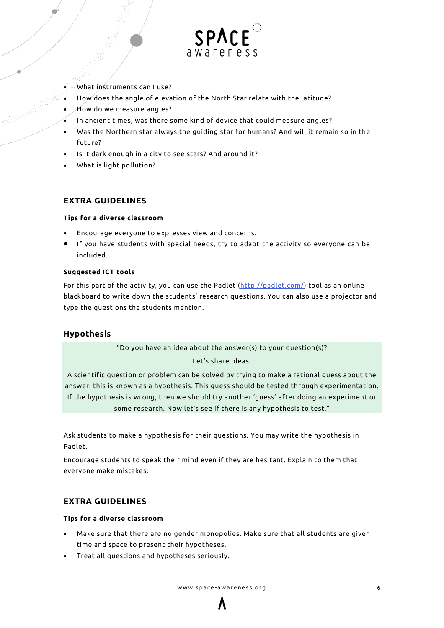

- What instruments can I use?
- How does the angle of elevation of the North Star relate with the latitude?
- How do we measure angles?
- In ancient times, was there some kind of device that could measure angles?
- Was the Northern star always the guiding star for humans? And will it remain so in the future?
- Is it dark enough in a city to see stars? And around it?
- What is light pollution?

#### **EXTRA GUIDELINES**

#### **Tips for a diverse classroom**

- Encourage everyone to expresses view and concerns.
- If you have students with special needs, try to adapt the activity so everyone can be included.

#### **Suggested ICT tools**

For this part of the activity, you can use the Padlet [\(http://padlet.com/\)](http://padlet.com/) tool as an online blackboard to write down the students' research questions. You can also use a projector and type the questions the students mention.

#### **Hypothesis**

"Do you have an idea about the answer(s) to your question(s)?

Let's share ideas.

A scientific question or problem can be solved by trying to make a rational guess about the answer: this is known as a hypothesis. This guess should be tested through experimentation. If the hypothesis is wrong, then we should try another 'guess' after doing an experiment or some research. Now let's see if there is any hypothesis to test."

Ask students to make a hypothesis for their questions. You may write the hypothesis in Padlet.

Encourage students to speak their mind even if they are hesitant. Explain to them that everyone make mistakes.

#### <span id="page-5-0"></span>**EXTRA GUIDELINES**

#### **Tips for a diverse classroom**

- Make sure that there are no gender monopolies. Make sure that all students are given time and space to present their hypotheses.
- Treat all questions and hypotheses seriously.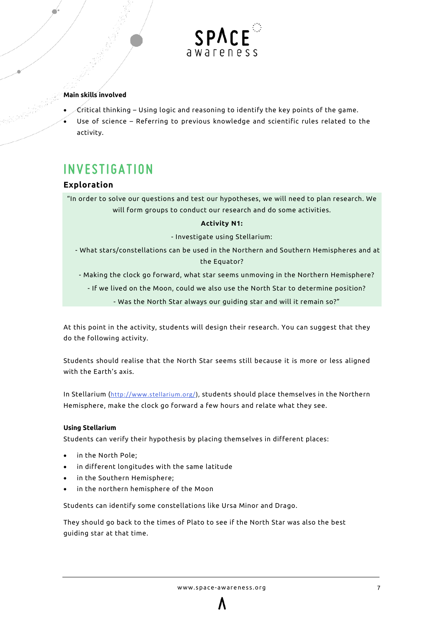

#### **Main skills involved**

- $\sqrt{\epsilon}$ ritical thinking Using logic and reasoning to identify the key points of the game.
- Use of science Referring to previous knowledge and scientific rules related to the activity.

# **INVESTIGATION**

#### <span id="page-6-0"></span>**Exploration**

"In order to solve our questions and test our hypotheses, we will need to plan research. We will form groups to conduct our research and do some activities.

#### **Activity N1:**

- Investigate using Stellarium:
- What stars/constellations can be used in the Northern and Southern Hemispheres and at the Equator?
- Making the clock go forward, what star seems unmoving in the Northern Hemisphere?
	- If we lived on the Moon, could we also use the North Star to determine position?
		- Was the North Star always our guiding star and will it remain so?"

At this point in the activity, students will design their research. You can suggest that they do the following activity.

Students should realise that the North Star seems still because it is more or less aligned with the Earth's axis.

In Stellarium ([http://www.stellarium.org/\)](http://www.stellarium.org/), students should place themselves in the Northern Hemisphere, make the clock go forward a few hours and relate what they see.

#### **Using Stellarium**

Students can verify their hypothesis by placing themselves in different places:

- in the North Pole;
- in different longitudes with the same latitude
- in the Southern Hemisphere;
- in the northern hemisphere of the Moon

Students can identify some constellations like Ursa Minor and Drago.

They should go back to the times of Plato to see if the North Star was also the best guiding star at that time.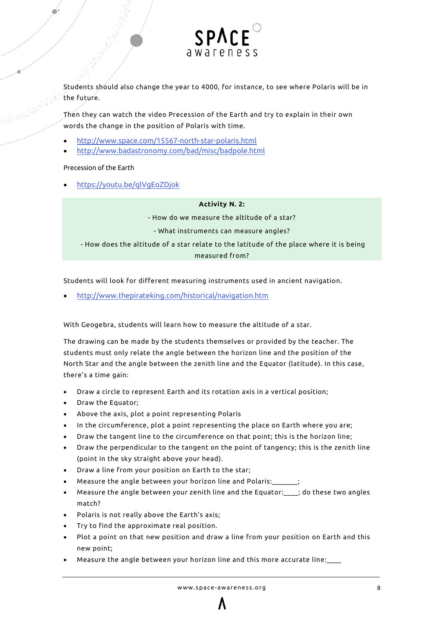

Students should also change the year to 4000, for instance, to see where Polaris will be in the future.

Then they can watch the video Precession of the Earth and try to explain in their own words the change in the position of Polaris with time.

- <http://www.space.com/15567-north-star-polaris.html>
- <http://www.badastronomy.com/bad/misc/badpole.html>

#### Precession of the Earth

• <https://youtu.be/qlVgEoZDjok>

#### **Activity N. 2:**

- How do we measure the altitude of a star?

- What instruments can measure angles?

- How does the altitude of a star relate to the latitude of the place where it is being measured from?

Students will look for different measuring instruments used in ancient navigation.

• <http://www.thepirateking.com/historical/navigation.htm>

With Geogebra, students will learn how to measure the altitude of a star.

The drawing can be made by the students themselves or provided by the teacher. The students must only relate the angle between the horizon line and the position of the North Star and the angle between the zenith line and the Equator (latitude). In this case, there's a time gain:

- Draw a circle to represent Earth and its rotation axis in a vertical position;
- Draw the Equator;
- Above the axis, plot a point representing Polaris
- In the circumference, plot a point representing the place on Earth where you are;
- Draw the tangent line to the circumference on that point; this is the horizon line;
- Draw the perpendicular to the tangent on the point of tangency; this is the zenith line (point in the sky straight above your head).
- Draw a line from your position on Earth to the star;
- Measure the angle between your horizon line and Polaris:\_\_\_\_\_\_\_;
- Measure the angle between your zenith line and the Equator:\_\_\_\_; do these two angles match?
- Polaris is not really above the Earth's axis;
- Try to find the approximate real position.
- Plot a point on that new position and draw a line from your position on Earth and this new point;
- Measure the angle between your horizon line and this more accurate line:\_\_\_\_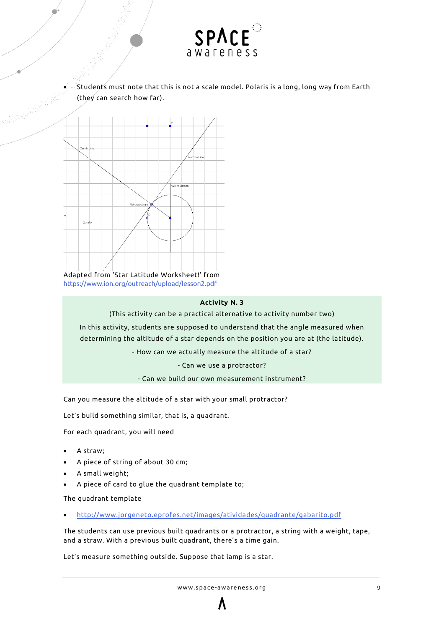

• Students must note that this is not a scale model. Polaris is a long, long way from Earth (they can search how far).



#### **Activity N. 3**

(This activity can be a practical alternative to activity number two)

In this activity, students are supposed to understand that the angle measured when determining the altitude of a star depends on the position you are at (the latitude).

- How can we actually measure the altitude of a star?

- Can we use a protractor?

- Can we build our own measurement instrument?

Can you measure the altitude of a star with your small protractor?

Let's build something similar, that is, a quadrant.

For each quadrant, you will need

- A straw;
- A piece of string of about 30 cm;
- A small weight;
- A piece of card to glue the quadrant template to;

The quadrant template

• <http://www.jorgeneto.eprofes.net/images/atividades/quadrante/gabarito.pdf>

The students can use previous built quadrants or a protractor, a string with a weight, tape, and a straw. With a previous built quadrant, there's a time gain.

Let's measure something outside. Suppose that lamp is a star.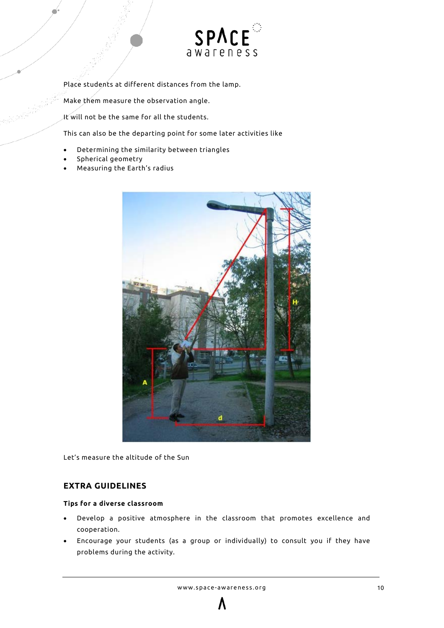

Place students at different distances from the lamp.

Make them measure the observation angle.

It will not be the same for all the students.

This can also be the departing point for some later activities like

- Determining the similarity between triangles
- Spherical geometry
- Measuring the Earth's radius



Let's measure the altitude of the Sun

#### **EXTRA GUIDELINES**

#### <span id="page-9-0"></span>**Tips for a diverse classroom**

- Develop a positive atmosphere in the classroom that promotes excellence and cooperation.
- Encourage your students (as a group or individually) to consult you if they have problems during the activity.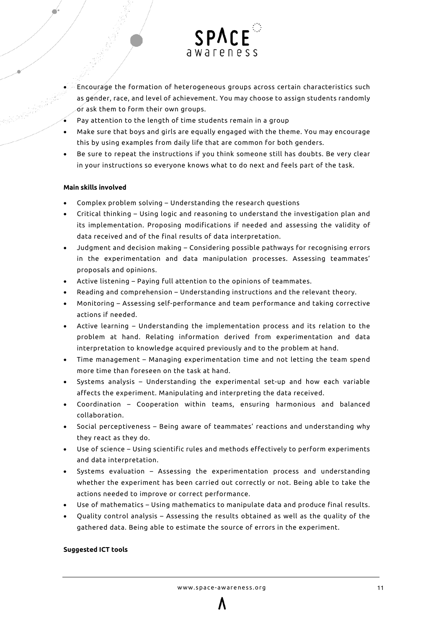

- Encourage the formation of heterogeneous groups across certain characteristics such as gender, race, and level of achievement. You may choose to assign students randomly or ask them to form their own groups.
- Pay attention to the length of time students remain in a group
- Make sure that boys and girls are equally engaged with the theme. You may encourage this by using examples from daily life that are common for both genders.
- Be sure to repeat the instructions if you think someone still has doubts. Be very clear in your instructions so everyone knows what to do next and feels part of the task.

#### **Main skills involved**

- Complex problem solving Understanding the research questions
- Critical thinking Using logic and reasoning to understand the investigation plan and its implementation. Proposing modifications if needed and assessing the validity of data received and of the final results of data interpretation.
- Judgment and decision making Considering possible pathways for recognising errors in the experimentation and data manipulation processes. Assessing teammates' proposals and opinions.
- Active listening Paying full attention to the opinions of teammates.
- Reading and comprehension Understanding instructions and the relevant theory.
- Monitoring Assessing self-performance and team performance and taking corrective actions if needed.
- Active learning Understanding the implementation process and its relation to the problem at hand. Relating information derived from experimentation and data interpretation to knowledge acquired previously and to the problem at hand.
- Time management Managing experimentation time and not letting the team spend more time than foreseen on the task at hand.
- Systems analysis Understanding the experimental set-up and how each variable affects the experiment. Manipulating and interpreting the data received.
- Coordination Cooperation within teams, ensuring harmonious and balanced collaboration.
- Social perceptiveness Being aware of teammates' reactions and understanding why they react as they do.
- Use of science Using scientific rules and methods effectively to perform experiments and data interpretation.
- Systems evaluation Assessing the experimentation process and understanding whether the experiment has been carried out correctly or not. Being able to take the actions needed to improve or correct performance.
- Use of mathematics Using mathematics to manipulate data and produce final results.
- Quality control analysis Assessing the results obtained as well as the quality of the gathered data. Being able to estimate the source of errors in the experiment.

#### **Suggested ICT tools**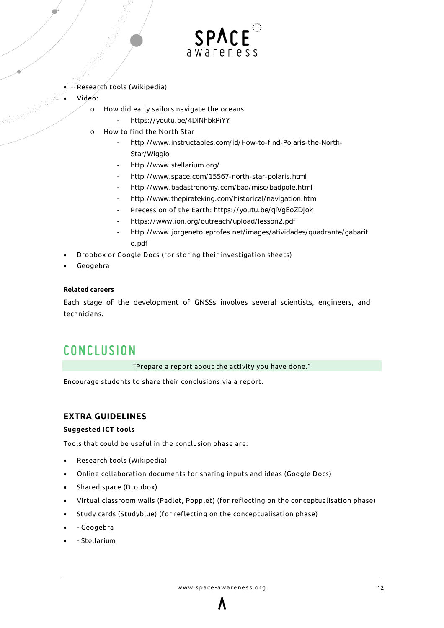

- Research tools (Wikipedia)
- Video:
	- o How did early sailors navigate the oceans
		- https://youtu.be/4DINhbkPiYY
	- o How to find the North Star
		- [http://www.instructables.com/id/How-to-find-Polaris-the-North-](http://www.instructables.com/id/How-to-find-Polaris-the-North-Star/Wiggio)[Star/Wiggio](http://www.instructables.com/id/How-to-find-Polaris-the-North-Star/Wiggio)
		- <http://www.stellarium.org/>
		- <http://www.space.com/15567-north-star-polaris.html>
		- <http://www.badastronomy.com/bad/misc/badpole.html>
		- <http://www.thepirateking.com/historical/navigation.htm>
		- Precession of the Earth: <https://youtu.be/qlVgEoZDjok>
		- <https://www.ion.org/outreach/upload/lesson2.pdf>
		- [http://www.jorgeneto.eprofes.net/images/atividades/quadrante/gabarit](http://www.jorgeneto.eprofes.net/images/atividades/quadrante/gabarito.pdf) [o.pdf](http://www.jorgeneto.eprofes.net/images/atividades/quadrante/gabarito.pdf)
- Dropbox or Google Docs (for storing their investigation sheets)
- Geogebra

#### **Related careers**

Each stage of the development of GNSSs involves several scientists, engineers, and technicians.

### **CONCLUSION**

"Prepare a report about the activity you have done."

Encourage students to share their conclusions via a report.

#### **EXTRA GUIDELINES**

#### <span id="page-11-0"></span>**Suggested ICT tools**

Tools that could be useful in the conclusion phase are:

- Research tools (Wikipedia)
- Online collaboration documents for sharing inputs and ideas (Google Docs)
- Shared space (Dropbox)
- Virtual classroom walls (Padlet, Popplet) (for reflecting on the conceptualisation phase)
- Study cards (Studyblue) (for reflecting on the conceptualisation phase)
- - Geogebra
- - Stellarium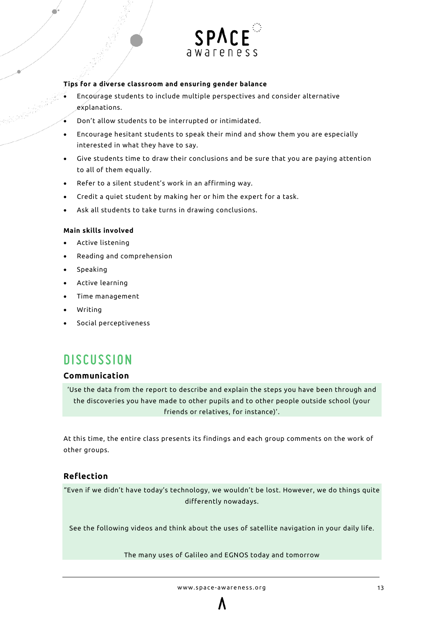

#### **Tips for a diverse classroom and ensuring gender balance**

- Encourage students to include multiple perspectives and consider alternative explanations.
- Don't allow students to be interrupted or intimidated.
- Encourage hesitant students to speak their mind and show them you are especially interested in what they have to say.
- Give students time to draw their conclusions and be sure that you are paying attention to all of them equally.
- Refer to a silent student's work in an affirming way.
- Credit a quiet student by making her or him the expert for a task.
- Ask all students to take turns in drawing conclusions.

#### **Main skills involved**

- Active listening
- Reading and comprehension
- Speaking
- Active learning
- Time management
- Writing
- Social perceptiveness

### **DISCUSSION**

#### <span id="page-12-0"></span>**Communication**

'Use the data from the report to describe and explain the steps you have been through and the discoveries you have made to other pupils and to other people outside school (your friends or relatives, for instance)'.

At this time, the entire class presents its findings and each group comments on the work of other groups.

#### **Reflection**

"Even if we didn't have today's technology, we wouldn't be lost. However, we do things quite differently nowadays.

See the following videos and think about the uses of satellite navigation in your daily life.

The many uses of Galileo and EGNOS today and tomorrow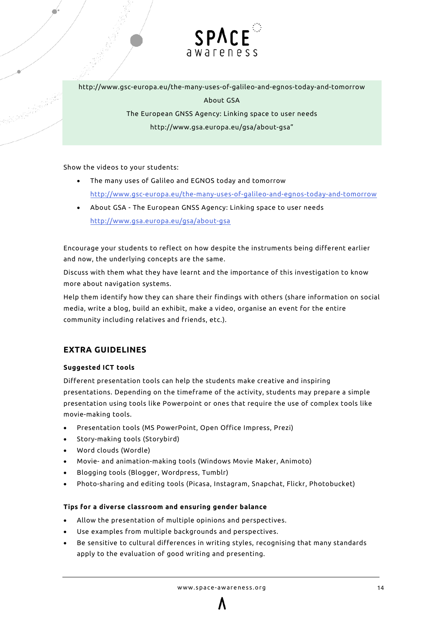

http://www.gsc-europa.eu/the-many-uses-of-galileo-and-egnos-today-and-tomorrow About GSA

> The European GNSS Agency: Linking space to user needs http://www.gsa.europa.eu/gsa/about-gsa"

Show the videos to your students:

- The many uses of Galileo and EGNOS today and tomorrow <http://www.gsc-europa.eu/the-many-uses-of-galileo-and-egnos-today-and-tomorrow>
- About GSA The European GNSS Agency: Linking space to user needs <http://www.gsa.europa.eu/gsa/about-gsa>

Encourage your students to reflect on how despite the instruments being different earlier and now, the underlying concepts are the same.

Discuss with them what they have learnt and the importance of this investigation to know more about navigation systems.

Help them identify how they can share their findings with others (share information on social media, write a blog, build an exhibit, make a video, organise an event for the entire community including relatives and friends, etc.).

#### **EXTRA GUIDELINES**

#### **Suggested ICT tools**

Different presentation tools can help the students make creative and inspiring presentations. Depending on the timeframe of the activity, students may prepare a simple presentation using tools like Powerpoint or ones that require the use of complex tools like movie-making tools.

- Presentation tools (MS PowerPoint, Open Office Impress, Prezi)
- Story-making tools (Storybird)
- Word clouds (Wordle)
- Movie- and animation-making tools (Windows Movie Maker, Animoto)
- Blogging tools (Blogger, Wordpress, Tumblr)
- Photo-sharing and editing tools (Picasa, Instagram, Snapchat, Flickr, Photobucket)

#### **Tips for a diverse classroom and ensuring gender balance**

- Allow the presentation of multiple opinions and perspectives.
- Use examples from multiple backgrounds and perspectives.
- Be sensitive to cultural differences in writing styles, recognising that many standards apply to the evaluation of good writing and presenting.